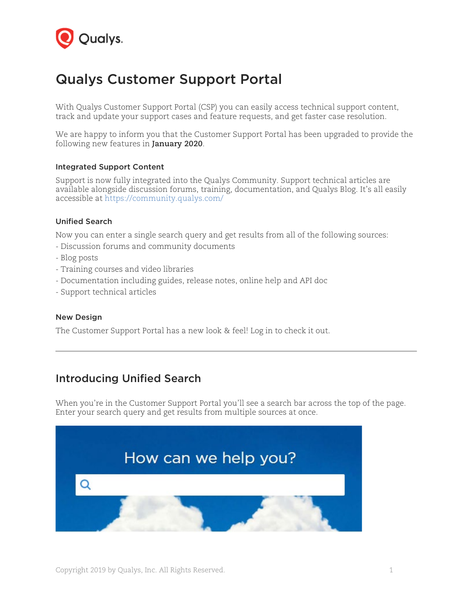

# Qualys Customer Support Portal

With Qualys Customer Support Portal (CSP) you can easily access technical support content, track and update your support cases and feature requests, and get faster case resolution.

We are happy to inform you that the Customer Support Portal has been upgraded to provide the following new features in **January 2020**.

#### Integrated Support Content

Support is now fully integrated into the Qualys Community. Support technical articles are available alongside discussion forums, training, documentation, and Qualys Blog. It's all easily accessible at<https://community.qualys.com/>

#### Unified Search

Now you can enter a single search query and get results from all of the following sources:

- Discussion forums and community documents
- Blog posts
- Training courses and video libraries
- Documentation including guides, release notes, online help and API doc
- Support technical articles

#### New Design

The Customer Support Portal has a new look & feel! Log in to check it out.

## Introducing Unified Search

When you're in the Customer Support Portal you'll see a search bar across the top of the page. Enter your search query and get results from multiple sources at once.

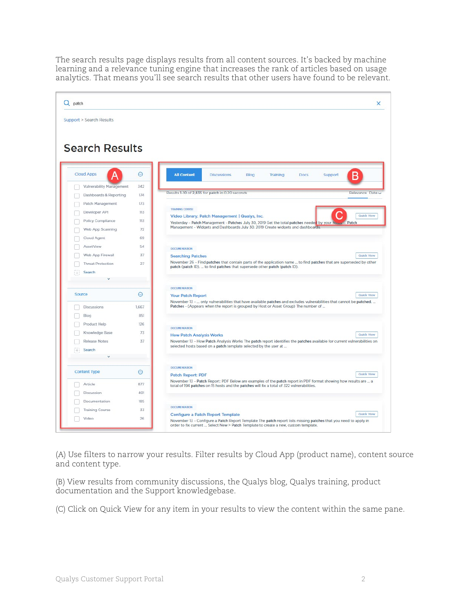The search results page displays results from all content sources. It's backed by machine learning and a relevance tuning engine that increases the rank of articles based on usage analytics. That means you'll see search results that other users have found to be relevant.



(A) Use filters to narrow your results. Filter results by Cloud App (product name), content source and content type.

(B) View results from community discussions, the Qualys blog, Qualys training, product documentation and the Support knowledgebase.

(C) Click on Quick View for any item in your results to view the content within the same pane.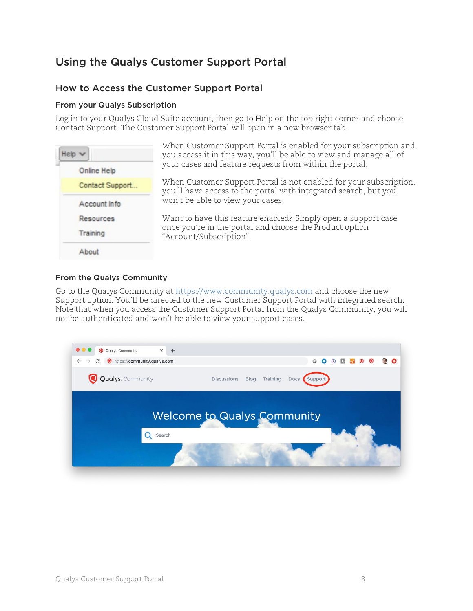## Using the Qualys Customer Support Portal

## How to Access the Customer Support Portal

#### From your Qualys Subscription

Log in to your Qualys Cloud Suite account, then go to Help on the top right corner and choose Contact Support. The Customer Support Portal will open in a new browser tab.

|                 | When Customer Support Portal is enabled for your subscription and<br>you access it in this way, you'll be able to view and manage all of |
|-----------------|------------------------------------------------------------------------------------------------------------------------------------------|
| Online Help     | your cases and feature requests from within the portal.                                                                                  |
| Contact Support | When Customer Support Portal is not enabled for your subscription,<br>you'll have access to the portal with integrated search, but you   |
| Account Info    | won't be able to view your cases.                                                                                                        |
| Resources       | Want to have this feature enabled? Simply open a support case                                                                            |
| Training        | once you're in the portal and choose the Product option<br>"Account/Subscription".                                                       |
| About           |                                                                                                                                          |

### From the Qualys Community

Go to the Qualys Community at [https://www.community.qualys.com](https://www.community.qualys.com/) and choose the new Support option. You'll be directed to the new Customer Support Portal with integrated search. Note that when you access the Customer Support Portal from the Qualys Community, you will not be authenticated and won't be able to view your support cases.

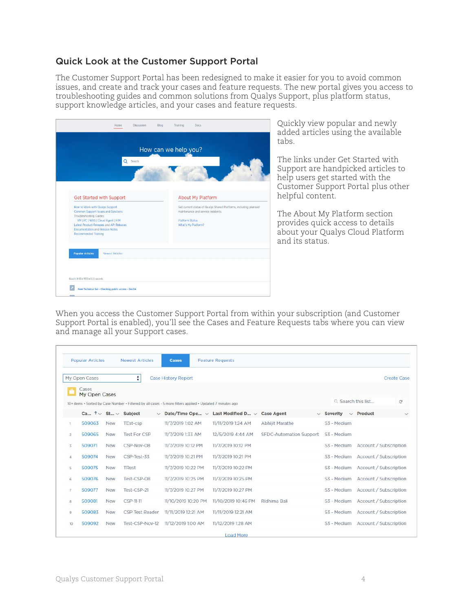## Quick Look at the Customer Support Portal

The Customer Support Portal has been redesigned to make it easier for you to avoid common issues, and create and track your cases and feature requests. The new portal gives you access to troubleshooting guides and common solutions from Qualys Support, plus platform status, support knowledge articles, and your cases and feature requests.

| Search<br>Q                                                                 | How can we help you?                                                                                   |
|-----------------------------------------------------------------------------|--------------------------------------------------------------------------------------------------------|
|                                                                             |                                                                                                        |
|                                                                             |                                                                                                        |
| Get Started with Support                                                    | <b>About My Platform</b>                                                                               |
| How to Work with Qualys Support<br>Common Support Issues and Solutions      | Get current status of Qualys Shared Platforms, including planned<br>maintenance and service incidents. |
| Troubleshooting Guides:<br>VM   PC   WAS   Cloud Agent   FIM                | <b>Platform Status</b>                                                                                 |
| Latest Product Releases and API Releases<br>Documentation and Release Notes | What's My Platform?                                                                                    |
| <b>Recommended Training</b>                                                 |                                                                                                        |
| <b>Popular Articles</b><br><b>Newest Articles</b>                           |                                                                                                        |

Quickly view popular and newly added articles using the available tabs.

The links under Get Started with Support are handpicked articles to help users get started with the Customer Support Portal plus other helpful content.

The About My Platform section provides quick access to details about your Qualys Cloud Platform and its status.

When you access the Customer Support Portal from within your subscription (and Customer Support Portal is enabled), you'll see the Cases and Feature Requests tabs where you can view and manage all your Support cases.

|                | <b>Popular Articles</b>              |            | Newest Articles     | Cases                                                                                                      | <b>Feature Requests</b>                     |                         |                    |                        |                    |
|----------------|--------------------------------------|------------|---------------------|------------------------------------------------------------------------------------------------------------|---------------------------------------------|-------------------------|--------------------|------------------------|--------------------|
|                | My Open Cases                        |            | ÷                   | <b>Case History Report</b>                                                                                 |                                             |                         |                    |                        | <b>Create Case</b> |
|                | Cases<br>My Open Cases               |            |                     | 10+ items . Sorted by Case Number . Filtered by all cases - 5 more filters applied . Updated 7 minutes ago |                                             |                         | Q Search this list |                        | G                  |
|                | Ca $\uparrow \vee$ St $\vee$ Subject |            |                     |                                                                                                            | Date/Time Ope $\vee$ Last Modified D $\vee$ | <b>Case Agent</b>       | $\vee$ Severity    | $\vee$ Product         | $\checkmark$       |
| Ŧ              | 509063                               | <b>New</b> | TEst-csp            | 11/7/2019 1:02 AM                                                                                          | 11/11/2019 1:24 AM                          | <b>Abhiit Marathe</b>   | S3 - Medium        |                        |                    |
| $\overline{2}$ | 509065                               | <b>New</b> | <b>Test For CSP</b> | 11/7/2019 1:33 AM                                                                                          | 12/5/2019 4:44 AM                           | SFDC-Automation Support | S3 - Medium        |                        |                    |
| 3              | 509071                               | New        | CSP-Nov-08          | 11/7/2019 10:12 PM                                                                                         | 11/7/2019 10:12 PM                          |                         | S3 - Medium        | Account / Subscription |                    |
| $\overline{4}$ | 509074                               | New        | CSP-Test-33         | 11/7/2019 10:21 PM                                                                                         | 11/7/2019 10:21 PM                          |                         | S3 - Medium        | Account / Subscription |                    |
| 5              | 509075                               | <b>New</b> | TRest               | 11/7/2019 10:22 PM                                                                                         | 11/7/2019 10:22 PM                          |                         | S3 - Medium        | Account / Subscription |                    |
| 6              | 509076                               | <b>New</b> | Test-CSP-08         | 11/7/2019 10:25 PM                                                                                         | 11/7/2019 10:25 PM                          |                         | S3 - Medium        | Account / Subscription |                    |
| $\mathcal{I}$  | 509077                               | <b>New</b> | Test-CSP-21         | 11/7/2019 10:27 PM                                                                                         | 11/7/2019 10:27 PM                          |                         | S3 - Medium        | Account / Subscription |                    |
| 8              | 509081                               | New        | CSP-11-11           | 11/10/2019 10:20 PM                                                                                        | 11/10/2019 10:46 PM                         | Ridhima Bali            | S3 - Medium        | Account / Subscription |                    |
| 9              | 509083                               | <b>New</b> | CSP Test Reader     | 11/11/2019 12:21 AM                                                                                        | 11/11/2019 12:21 AM                         |                         | S3 - Medium        | Account / Subscription |                    |
| 10             | 509092                               | <b>New</b> | Test-CSP-Nov-12     | 11/12/2019 1:00 AM                                                                                         | 11/12/2019 1:28 AM                          |                         | S3 - Medium        | Account / Subscription |                    |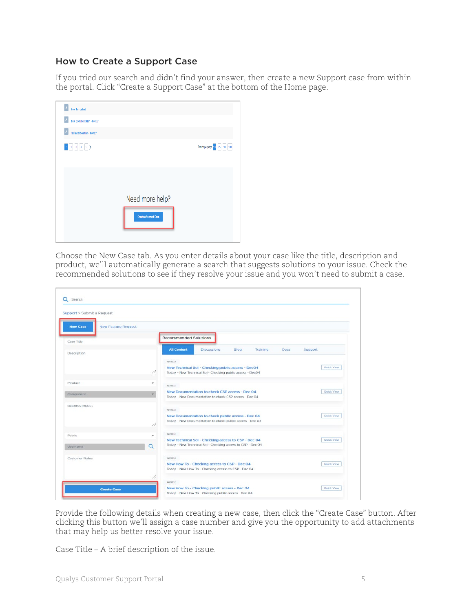## How to Create a Support Case

If you tried our search and didn't find your answer, then create a new Support case from within the portal. Click "Create a Support Case" at the bottom of the Home page.

| How To - Latest<br>New Documentation - Nov 27<br>Technical Solution - Nov 27<br>$\begin{array}{ c c c c c }\hline 1&1&1&1&1\\ \hline \end{array}$<br>Results per page   10   25   30   100<br>Need more help? | Create a Support Case |  |  |
|---------------------------------------------------------------------------------------------------------------------------------------------------------------------------------------------------------------|-----------------------|--|--|
|                                                                                                                                                                                                               |                       |  |  |
|                                                                                                                                                                                                               |                       |  |  |
|                                                                                                                                                                                                               |                       |  |  |
|                                                                                                                                                                                                               |                       |  |  |
|                                                                                                                                                                                                               |                       |  |  |
|                                                                                                                                                                                                               |                       |  |  |
|                                                                                                                                                                                                               |                       |  |  |
|                                                                                                                                                                                                               |                       |  |  |
|                                                                                                                                                                                                               |                       |  |  |
|                                                                                                                                                                                                               |                       |  |  |

Choose the New Case tab. As you enter details about your case like the title, description and product, we'll automatically generate a search that suggests solutions to your issue. Check the recommended solutions to see if they resolve your issue and you won't need to submit a case.

| <b>New Case</b><br><b>New Feature Request</b> |          |                              |                                                                                                                  |      |          |      |                   |
|-----------------------------------------------|----------|------------------------------|------------------------------------------------------------------------------------------------------------------|------|----------|------|-------------------|
| Case Title                                    |          | <b>Recommended Solutions</b> |                                                                                                                  |      |          |      |                   |
| Description                                   |          | <b>All Content</b>           | <b>Discussions</b>                                                                                               | Blog | Training | Docs | Support           |
|                                               |          |                              |                                                                                                                  |      |          |      |                   |
|                                               |          | ANTICLE:                     |                                                                                                                  |      |          |      |                   |
|                                               | 11       |                              | New Technical Sol - Checking public access - Dec04<br>Today - New Technical Sol - Checking public access - Dec04 |      |          |      | Quick View        |
|                                               |          |                              |                                                                                                                  |      |          |      |                   |
| Product                                       | ۰        | <b>ARTICLE</b>               |                                                                                                                  |      |          |      |                   |
| Component                                     |          |                              | New Documentation to check CSP access - Dec 04                                                                   |      |          |      | Quick View        |
|                                               |          |                              | Today - New Documentation to check CSP access - Dec 04                                                           |      |          |      |                   |
| <b>Business Impact</b>                        |          |                              |                                                                                                                  |      |          |      |                   |
|                                               |          | ARTICLE:                     |                                                                                                                  |      |          |      |                   |
|                                               |          |                              | New Documentation to check public access - Dec 04<br>Today - New Documentation to check public access - Dec 04   |      |          |      | <b>Quick View</b> |
|                                               | 1,       |                              |                                                                                                                  |      |          |      |                   |
|                                               |          | ARTICLE.                     |                                                                                                                  |      |          |      |                   |
| Public                                        | ÷        |                              | New Technical Sol - Checking access to CSP - Dec 04                                                              |      |          |      | Quick View        |
| <b>Username</b>                               | $\alpha$ |                              | Today - New Technical Sol - Checking access to CSP - Dec 04                                                      |      |          |      |                   |
|                                               |          |                              |                                                                                                                  |      |          |      |                   |
| Customer Notes                                |          | <b>ARTICLE</b>               |                                                                                                                  |      |          |      |                   |
|                                               |          |                              | New How To - Checking access to CSP - Dec 04                                                                     |      |          |      | <b>Quick View</b> |
|                                               |          |                              | Today - New How To - Checking access to CSP - Dec 04                                                             |      |          |      |                   |

Provide the following details when creating a new case, then click the "Create Case" button. After clicking this button we'll assign a case number and give you the opportunity to add attachments that may help us better resolve your issue.

Case Title – A brief description of the issue.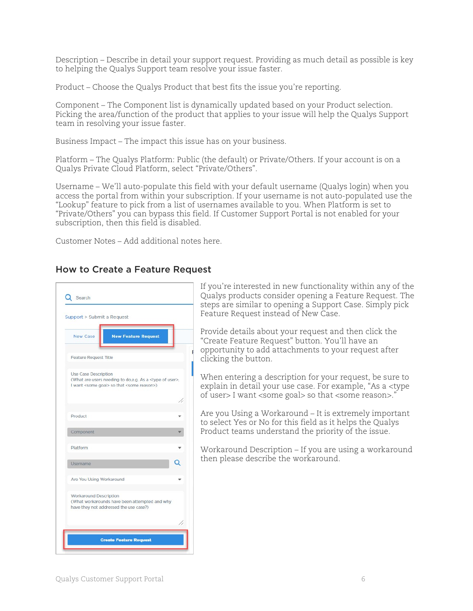Description – Describe in detail your support request. Providing as much detail as possible is key to helping the Qualys Support team resolve your issue faster.

Product – Choose the Qualys Product that best fits the issue you're reporting.

Component – The Component list is dynamically updated based on your Product selection. Picking the area/function of the product that applies to your issue will help the Qualys Support team in resolving your issue faster.

Business Impact – The impact this issue has on your business.

Platform – The Qualys Platform: Public (the default) or Private/Others. If your account is on a Qualys Private Cloud Platform, select "Private/Others".

Username – We'll auto-populate this field with your default username (Qualys login) when you access the portal from within your subscription. If your username is not auto-populated use the "Lookup" feature to pick from a list of usernames available to you. When Platform is set to "Private/Others" you can bypass this field. If Customer Support Portal is not enabled for your subscription, then this field is disabled.

Customer Notes – Add additional notes here.

## How to Create a Feature Request



If you're interested in new functionality within any of the Qualys products consider opening a Feature Request. The steps are similar to opening a Support Case. Simply pick Feature Request instead of New Case.

Provide details about your request and then click the "Create Feature Request" button. You'll have an opportunity to add attachments to your request after clicking the button.

When entering a description for your request, be sure to explain in detail your use case. For example, "As a <type of user> I want <some goal> so that <some reason>."

Are you Using a Workaround – It is extremely important to select Yes or No for this field as it helps the Qualys Product teams understand the priority of the issue.

Workaround Description – If you are using a workaround then please describe the workaround.